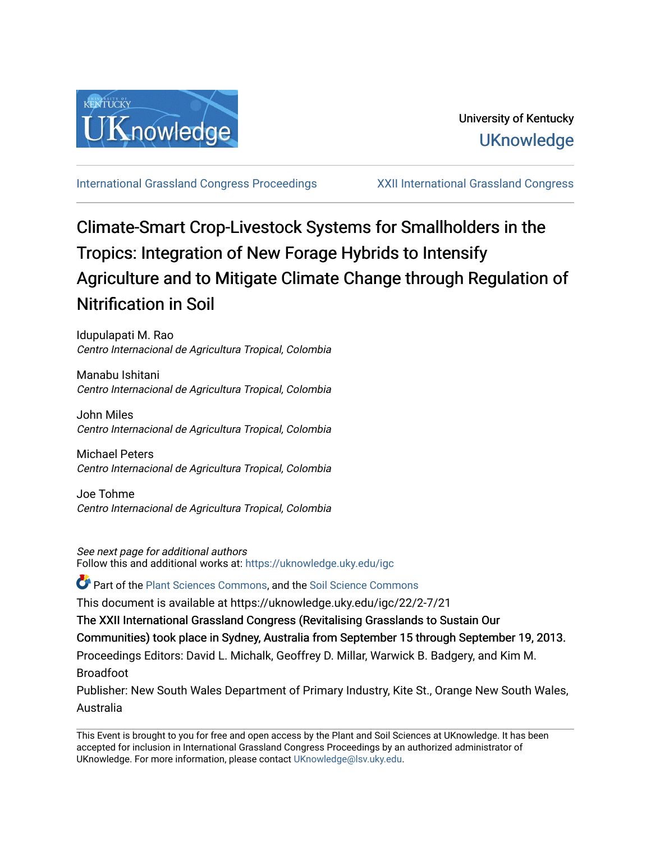

[International Grassland Congress Proceedings](https://uknowledge.uky.edu/igc) [XXII International Grassland Congress](https://uknowledge.uky.edu/igc/22) 

# Climate-Smart Crop-Livestock Systems for Smallholders in the Tropics: Integration of New Forage Hybrids to Intensify Agriculture and to Mitigate Climate Change through Regulation of Nitrification in Soil

Idupulapati M. Rao Centro Internacional de Agricultura Tropical, Colombia

Manabu Ishitani Centro Internacional de Agricultura Tropical, Colombia

John Miles Centro Internacional de Agricultura Tropical, Colombia

Michael Peters Centro Internacional de Agricultura Tropical, Colombia

Joe Tohme Centro Internacional de Agricultura Tropical, Colombia

See next page for additional authors Follow this and additional works at: [https://uknowledge.uky.edu/igc](https://uknowledge.uky.edu/igc?utm_source=uknowledge.uky.edu%2Figc%2F22%2F2-7%2F21&utm_medium=PDF&utm_campaign=PDFCoverPages) 

Part of the [Plant Sciences Commons](http://network.bepress.com/hgg/discipline/102?utm_source=uknowledge.uky.edu%2Figc%2F22%2F2-7%2F21&utm_medium=PDF&utm_campaign=PDFCoverPages), and the [Soil Science Commons](http://network.bepress.com/hgg/discipline/163?utm_source=uknowledge.uky.edu%2Figc%2F22%2F2-7%2F21&utm_medium=PDF&utm_campaign=PDFCoverPages) 

This document is available at https://uknowledge.uky.edu/igc/22/2-7/21

The XXII International Grassland Congress (Revitalising Grasslands to Sustain Our

Communities) took place in Sydney, Australia from September 15 through September 19, 2013.

Proceedings Editors: David L. Michalk, Geoffrey D. Millar, Warwick B. Badgery, and Kim M. Broadfoot

Publisher: New South Wales Department of Primary Industry, Kite St., Orange New South Wales, Australia

This Event is brought to you for free and open access by the Plant and Soil Sciences at UKnowledge. It has been accepted for inclusion in International Grassland Congress Proceedings by an authorized administrator of UKnowledge. For more information, please contact [UKnowledge@lsv.uky.edu](mailto:UKnowledge@lsv.uky.edu).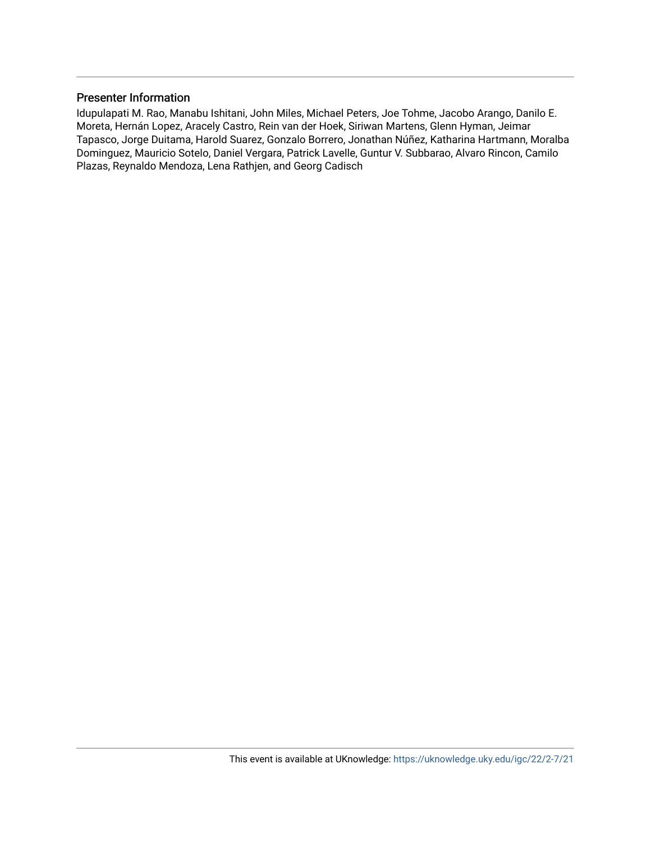# Presenter Information

Idupulapati M. Rao, Manabu Ishitani, John Miles, Michael Peters, Joe Tohme, Jacobo Arango, Danilo E. Moreta, Hernán Lopez, Aracely Castro, Rein van der Hoek, Siriwan Martens, Glenn Hyman, Jeimar Tapasco, Jorge Duitama, Harold Suarez, Gonzalo Borrero, Jonathan Núñez, Katharina Hartmann, Moralba Dominguez, Mauricio Sotelo, Daniel Vergara, Patrick Lavelle, Guntur V. Subbarao, Alvaro Rincon, Camilo Plazas, Reynaldo Mendoza, Lena Rathjen, and Georg Cadisch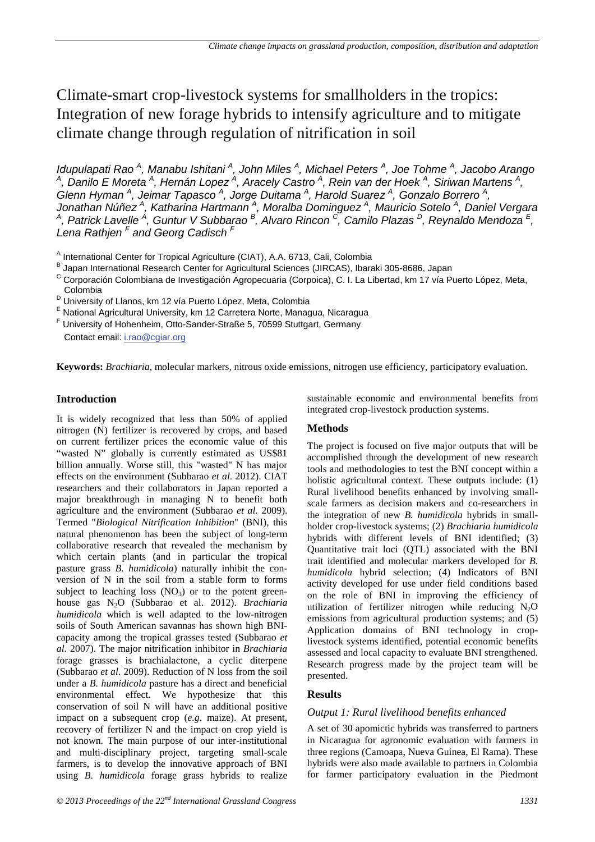Climate-smart crop-livestock systems for smallholders in the tropics: Integration of new forage hybrids to intensify agriculture and to mitigate climate change through regulation of nitrification in soil

*Idupulapati Rao <sup>A</sup> , Manabu Ishitani <sup>A</sup> , John Miles <sup>A</sup> , Michael Peters <sup>A</sup> , Joe Tohme <sup>A</sup> , Jacobo Arango*  <sup>A</sup>, Danilo E Moreta <sup>A</sup>, Hernán Lopez <sup>A</sup>, Aracely Castro <sup>A</sup>, Rein van der Hoek <sup>A</sup>, Siriwan Martens <sup>A</sup>, *Glenn Hyman <sup>A</sup> , Jeimar Tapasco <sup>A</sup> , Jorge Duitama <sup>A</sup> , Harold Suarez <sup>A</sup> , Gonzalo Borrero <sup>A</sup> ,*  Jonathan Núñez <sup>A</sup>, Katharina Hartmann <sup>A</sup>, Moralba Dominguez <sup>A</sup>, Mauricio Sotelo <sup>A</sup>, Daniel Vergara<br><sup>A</sup>, Patrick Lavelle <sup>A</sup>, Guntur V Subbarao <sup>B</sup>, Alvaro Rincon <sup>C</sup>, Camilo Plazas <sup>D</sup>, Reynaldo Mendoza <sup>E</sup>, *Lena Rathjen <sup>F</sup> and Georg Cadisch <sup>F</sup>* 

A International Center for Tropical Agriculture (CIAT), A.A. 6713, Cali, Colombia<br><sup>B</sup> Japan International Research Center for Agricultural Sciences (JIRCAS), Ibaraki 305-8686, Japan

- <sup>C</sup> Corporación Colombiana de Investigación Agropecuaria (Corpoica), C. I. La Libertad, km 17 vía Puerto López, Meta, Colombia<br><sup>D</sup> University of Llanos, km 12 vía Puerto López, Meta, Colombia
- 
- <sup>E</sup> National Agricultural University, km 12 Carretera Norte, Managua, Nicaragua
- <sup>F</sup> University of Hohenheim, Otto-Sander-Straße 5, 70599 Stuttgart, Germany Contact email: i.rao@cgiar.org

**Keywords:** *Brachiaria*, molecular markers, nitrous oxide emissions, nitrogen use efficiency, participatory evaluation.

## **Introduction**

It is widely recognized that less than 50% of applied nitrogen (N) fertilizer is recovered by crops, and based on current fertilizer prices the economic value of this "wasted N" globally is currently estimated as US\$81 billion annually. Worse still, this "wasted" N has major effects on the environment (Subbarao *et al.* 2012). CIAT researchers and their collaborators in Japan reported a major breakthrough in managing N to benefit both agriculture and the environment (Subbarao *et al.* 2009). Termed "*Biological Nitrification Inhibition*" (BNI), this natural phenomenon has been the subject of long-term collaborative research that revealed the mechanism by which certain plants (and in particular the tropical pasture grass *B. humidicola*) naturally inhibit the conversion of N in the soil from a stable form to forms subject to leaching loss  $(NO<sub>3</sub>)$  or to the potent greenhouse gas N2O (Subbarao et al. 2012). *Brachiaria humidicola* which is well adapted to the low-nitrogen soils of South American savannas has shown high BNIcapacity among the tropical grasses tested (Subbarao *et al.* 2007). The major nitrification inhibitor in *Brachiaria* forage grasses is brachialactone, a cyclic diterpene (Subbarao *et al.* 2009). Reduction of N loss from the soil under a *B. humidicola* pasture has a direct and beneficial environmental effect. We hypothesize that this conservation of soil N will have an additional positive impact on a subsequent crop (*e.g.* maize). At present, recovery of fertilizer N and the impact on crop yield is not known. The main purpose of our inter-institutional and multi-disciplinary project, targeting small-scale farmers, is to develop the innovative approach of BNI using *B. humidicola* forage grass hybrids to realize

sustainable economic and environmental benefits from integrated crop-livestock production systems.

#### **Methods**

The project is focused on five major outputs that will be accomplished through the development of new research tools and methodologies to test the BNI concept within a holistic agricultural context. These outputs include: (1) Rural livelihood benefits enhanced by involving smallscale farmers as decision makers and co-researchers in the integration of new *B. humidicola* hybrids in smallholder crop-livestock systems; (2) *Brachiaria humidicola* hybrids with different levels of BNI identified; (3) Quantitative trait loci (QTL) associated with the BNI trait identified and molecular markers developed for *B. humidicola* hybrid selection; (4) Indicators of BNI activity developed for use under field conditions based on the role of BNI in improving the efficiency of utilization of fertilizer nitrogen while reducing  $N_2O$ emissions from agricultural production systems; and (5) Application domains of BNI technology in croplivestock systems identified, potential economic benefits assessed and local capacity to evaluate BNI strengthened. Research progress made by the project team will be presented.

# **Results**

#### *Output 1: Rural livelihood benefits enhanced*

A set of 30 apomictic hybrids was transferred to partners in Nicaragua for agronomic evaluation with farmers in three regions (Camoapa, Nueva Guinea, El Rama). These hybrids were also made available to partners in Colombia for farmer participatory evaluation in the Piedmont